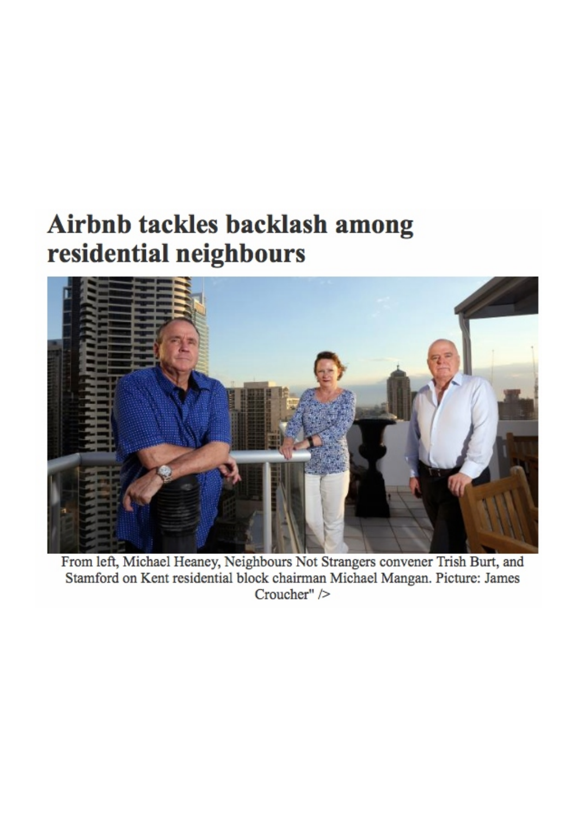## Airbnb tackles backlash among residential neighbours



From left, Michael Heaney, Neighbours Not Strangers convener Trish Burt, and Stamford on Kent residential block chairman Michael Mangan. Picture: James Croucher" />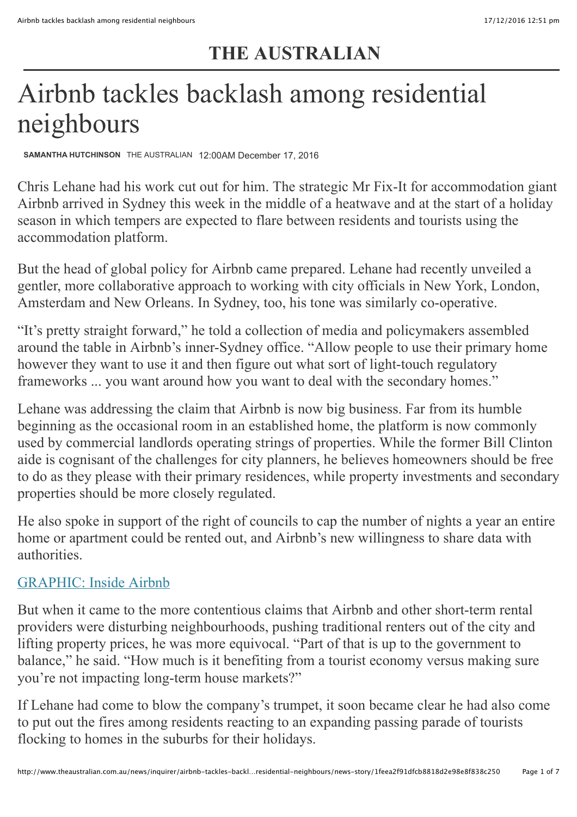### **THE AUSTRALIAN**

# Airbnb tackles backlash among residential neighbours

**[SAMANTHA HUTCHINSON](http://www.theaustralian.com.au/author/Samantha+Hutchinson)** THE AUSTRALIAN 12:00AM December 17, 2016

Chris Lehane had his work cut out for him. The strategic Mr Fix-It for accommodation giant Airbnb arrived in Sydney this week in the middle of a heatwave and at the start of a holiday season in which tempers are expected to flare between residents and tourists using the accommodation platform.

But the head of global policy for Airbnb came prepared. Lehane had recently unveiled a gentler, more collaborative approach to working with city officials in New York, London, Amsterdam and New Orleans. In Sydney, too, his tone was similarly co-operative.

"It's pretty straight forward," he told a collection of media and policymakers assembled [around the table in Airbnb's inner-Sydney office. "Allow people to use their primary home](http://www.theaustralian.com.au/news/inquirer/airbnb-tackles-backlash-among-residential-neighbours/news-story/1feea2f91dfcb8818d2e98e8f838c250#) however they want to use it and then figure out what sort of light-touch regulatory frameworks ... you want around how you want to deal with the secondary homes."

Lehane was addressing the claim that Airbnb is now big business. Far from its humble beginning as the occasional room in an established home, the platform is now commonly used by commercial landlords operating strings of properties. While the former Bill Clinton aide is cognisant of the challenges for city planners, he believes homeowners should be free to do as they please with their primary residences, while property investments and secondary properties should be more closely regulated.

He also spoke in support of the right of councils to cap the number of nights a year an entire home or apartment could be rented out, and Airbnb's new willingness to share data with authorities.

#### [GRAPHIC: Inside Airbnb](https://theaustralianatnewscorpau.files.wordpress.com/2016/12/web_inq_airbnb.pdf)

But when it came to the more contentious claims that Airbnb and other short-term rental providers were disturbing neighbourhoods, pushing traditional renters out of the city and lifting property prices, he was more equivocal. "Part of that is up to the government to balance," he said. "How much is it benefiting from a tourist economy versus making sure you're not impacting long-term house markets?"

If Lehane had come to blow the company's trumpet, it soon became clear he had also come to put out the fires among residents reacting to an expanding passing parade of tourists flocking to homes in the suburbs for their holidays.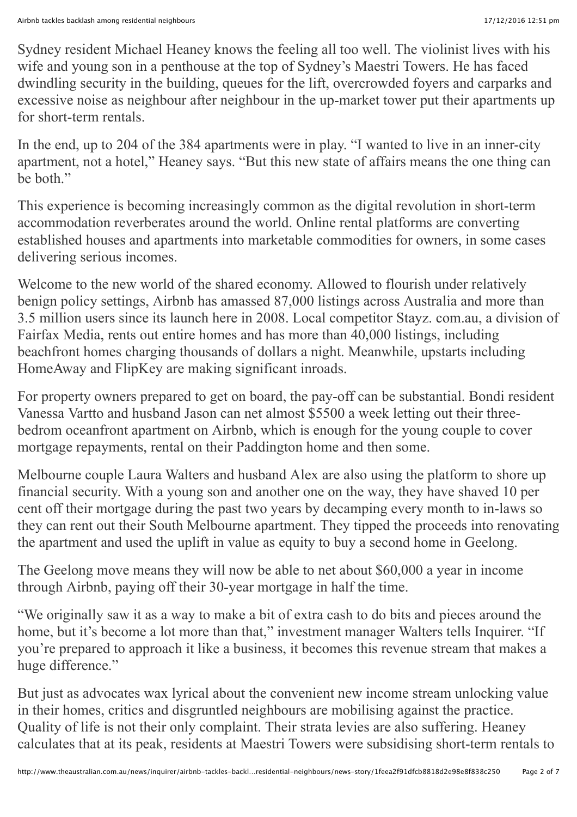Sydney resident Michael Heaney knows the feeling all too well. The violinist lives with his wife and young son in a penthouse at the top of Sydney's Maestri Towers. He has faced dwindling security in the building, queues for the lift, overcrowded foyers and carparks and excessive noise as neighbour after neighbour in the up-market tower put their apartments up for short-term rentals.

In the end, up to 204 of the 384 apartments were in play. "I wanted to live in an inner-city apartment, not a hotel," Heaney says. "But this new state of affairs means the one thing can he both"

This experience is becoming increasingly common as the digital revolution in short-term accommodation reverberates around the world. Online rental platforms are converting established houses and apartments into marketable commodities for owners, in some cases delivering serious incomes.

Welcome to the new world of the shared economy. Allowed to flourish under relatively benign policy settings, Airbnb has amassed 87,000 listings across Australia and more than 3.5 million users since its launch here in 2008. Local competitor Stayz. com.au, a division of Fairfax Media, rents out entire homes and has more than 40,000 listings, including beachfront homes charging thousands of dollars a night. Meanwhile, upstarts including HomeAway and FlipKey are making significant inroads.

For property owners prepared to get on board, the pay-off can be substantial. Bondi resident Vanessa Vartto and husband Jason can net almost \$5500 a week letting out their threebedrom oceanfront apartment on Airbnb, which is enough for the young couple to cover mortgage repayments, rental on their Paddington home and then some.

Melbourne couple Laura Walters and husband Alex are also using the platform to shore up financial security. With a young son and another one on the way, they have shaved 10 per cent off their mortgage during the past two years by decamping every month to in-laws so they can rent out their South Melbourne apartment. They tipped the proceeds into renovating the apartment and used the uplift in value as equity to buy a second home in Geelong.

The Geelong move means they will now be able to net about \$60,000 a year in income through Airbnb, paying off their 30-year mortgage in half the time.

"We originally saw it as a way to make a bit of extra cash to do bits and pieces around the home, but it's become a lot more than that," investment manager Walters tells Inquirer. "If you're prepared to approach it like a business, it becomes this revenue stream that makes a huge difference."

But just as advocates wax lyrical about the convenient new income stream unlocking value in their homes, critics and disgruntled neighbours are mobilising against the practice. Quality of life is not their only complaint. Their strata levies are also suffering. Heaney calculates that at its peak, residents at Maestri Towers were subsidising short-term rentals to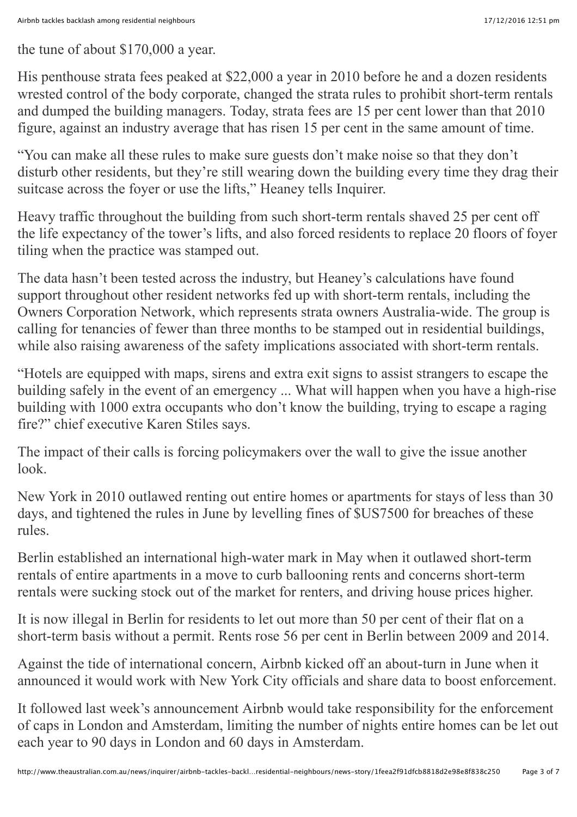the tune of about \$170,000 a year.

His penthouse strata fees peaked at \$22,000 a year in 2010 before he and a dozen residents wrested control of the body corporate, changed the strata rules to prohibit short-term rentals and dumped the building managers. Today, strata fees are 15 per cent lower than that 2010 figure, against an industry average that has risen 15 per cent in the same amount of time.

"You can make all these rules to make sure guests don't make noise so that they don't disturb other residents, but they're still wearing down the building every time they drag their suitcase across the foyer or use the lifts," Heaney tells Inquirer.

Heavy traffic throughout the building from such short-term rentals shaved 25 per cent off the life expectancy of the tower's lifts, and also forced residents to replace 20 floors of foyer tiling when the practice was stamped out.

The data hasn't been tested across the industry, but Heaney's calculations have found support throughout other resident networks fed up with short-term rentals, including the Owners Corporation Network, which represents strata owners Australia-wide. The group is calling for tenancies of fewer than three months to be stamped out in residential buildings, while also raising awareness of the safety implications associated with short-term rentals.

"Hotels are equipped with maps, sirens and extra exit signs to assist strangers to escape the building safely in the event of an emergency ... What will happen when you have a high-rise building with 1000 extra occupants who don't know the building, trying to escape a raging fire?" chief executive Karen Stiles says.

The impact of their calls is forcing policymakers over the wall to give the issue another look.

New York in 2010 outlawed renting out entire homes or apartments for stays of less than 30 days, and tightened the rules in June by levelling fines of \$US7500 for breaches of these rules.

Berlin established an international high-water mark in May when it outlawed short-term rentals of entire apartments in a move to curb ballooning rents and concerns short-term rentals were sucking stock out of the market for renters, and driving house prices higher.

It is now illegal in Berlin for residents to let out more than 50 per cent of their flat on a short-term basis without a permit. Rents rose 56 per cent in Berlin between 2009 and 2014.

Against the tide of international concern, Airbnb kicked off an about-turn in June when it announced it would work with New York City officials and share data to boost enforcement.

It followed last week's announcement Airbnb would take responsibility for the enforcement of caps in London and Amsterdam, limiting the number of nights entire homes can be let out each year to 90 days in London and 60 days in Amsterdam.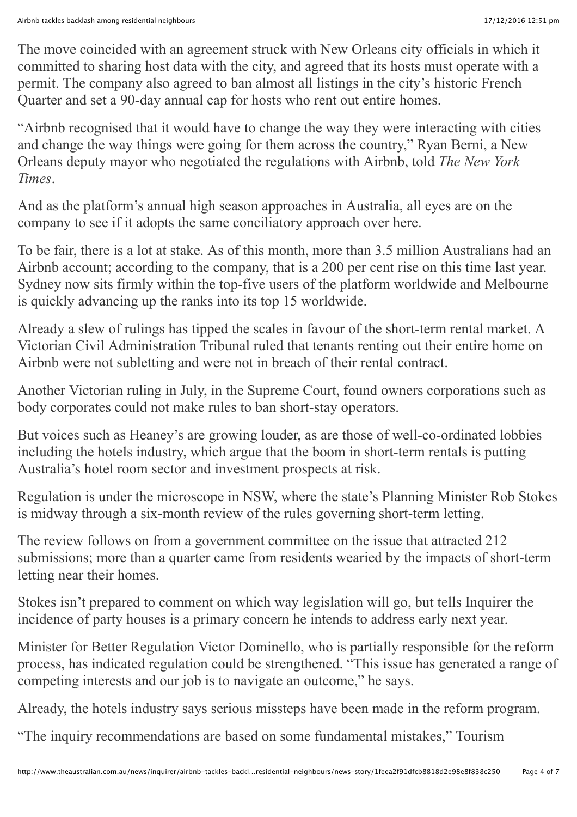The move coincided with an agreement struck with New Orleans city officials in which it committed to sharing host data with the city, and agreed that its hosts must operate with a permit. The company also agreed to ban almost all listings in the city's historic French Quarter and set a 90-day annual cap for hosts who rent out entire homes.

"Airbnb recognised that it would have to change the way they were interacting with cities and change the way things were going for them across the country," Ryan Berni, a New Orleans deputy mayor who negotiated the regulations with Airbnb, told *The New York Times*.

And as the platform's annual high season approaches in Australia, all eyes are on the company to see if it adopts the same conciliatory approach over here.

To be fair, there is a lot at stake. As of this month, more than 3.5 million Australians had an Airbnb account; according to the company, that is a 200 per cent rise on this time last year. Sydney now sits firmly within the top-five users of the platform worldwide and Melbourne is quickly advancing up the ranks into its top 15 worldwide.

Already a slew of rulings has tipped the scales in favour of the short-term rental market. A Victorian Civil Administration Tribunal ruled that tenants renting out their entire home on Airbnb were not subletting and were not in breach of their rental contract.

Another Victorian ruling in July, in the Supreme Court, found owners corporations such as body corporates could not make rules to ban short-stay operators.

But voices such as Heaney's are growing louder, as are those of well-co-ordinated lobbies including the hotels industry, which argue that the boom in short-term rentals is putting Australia's hotel room sector and investment prospects at risk.

Regulation is under the microscope in NSW, where the state's Planning Minister Rob Stokes is midway through a six-month review of the rules governing short-term letting.

The review follows on from a government committee on the issue that attracted 212 submissions; more than a quarter came from residents wearied by the impacts of short-term letting near their homes.

Stokes isn't prepared to comment on which way legislation will go, but tells Inquirer the incidence of party houses is a primary concern he intends to address early next year.

Minister for Better Regulation Victor Dominello, who is partially responsible for the reform process, has indicated regulation could be strengthened. "This issue has generated a range of competing interests and our job is to navigate an outcome," he says.

Already, the hotels industry says serious missteps have been made in the reform program.

"The inquiry recommendations are based on some fundamental mistakes," Tourism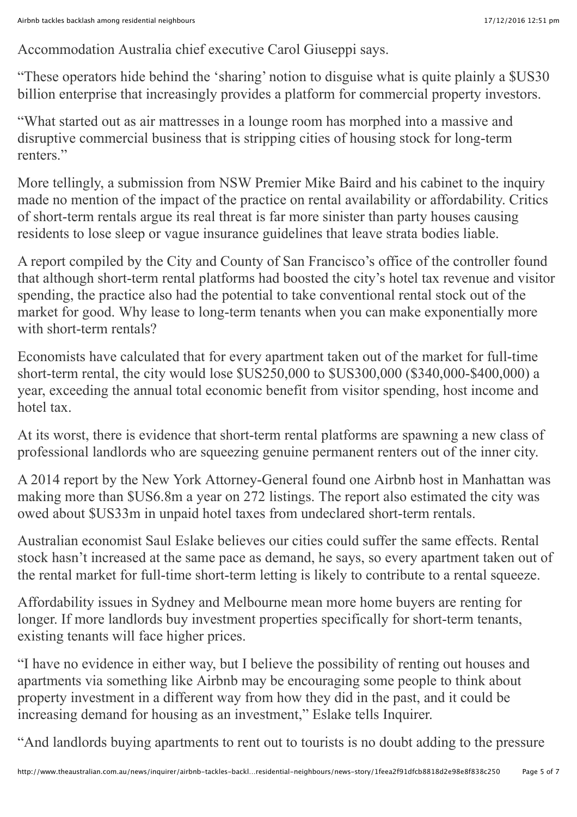Accommodation Australia chief executive Carol Giuseppi says.

"These operators hide behind the 'sharing' notion to disguise what is quite plainly a \$US30 billion enterprise that increasingly provides a platform for commercial property investors.

"What started out as air mattresses in a lounge room has morphed into a massive and disruptive commercial business that is stripping cities of housing stock for long-term renters<sup>"</sup>

More tellingly, a submission from NSW Premier Mike Baird and his cabinet to the inquiry made no mention of the impact of the practice on rental availability or affordability. Critics of short-term rentals argue its real threat is far more sinister than party houses causing residents to lose sleep or vague insurance guidelines that leave strata bodies liable.

A report compiled by the City and County of San Francisco's office of the controller found that although short-term rental platforms had boosted the city's hotel tax revenue and visitor spending, the practice also had the potential to take conventional rental stock out of the market for good. Why lease to long-term tenants when you can make exponentially more with short-term rentals?

Economists have calculated that for every apartment taken out of the market for full-time short-term rental, the city would lose \$US250,000 to \$US300,000 (\$340,000-\$400,000) a year, exceeding the annual total economic benefit from visitor spending, host income and hotel tax.

At its worst, there is evidence that short-term rental platforms are spawning a new class of professional landlords who are squeezing genuine permanent renters out of the inner city.

A 2014 report by the New York Attorney-General found one Airbnb host in Manhattan was making more than \$US6.8m a year on 272 listings. The report also estimated the city was owed about \$US33m in unpaid hotel taxes from undeclared short-term rentals.

Australian economist Saul Eslake believes our cities could suffer the same effects. Rental stock hasn't increased at the same pace as demand, he says, so every apartment taken out of the rental market for full-time short-term letting is likely to contribute to a rental squeeze.

Affordability issues in Sydney and Melbourne mean more home buyers are renting for longer. If more landlords buy investment properties specifically for short-term tenants, existing tenants will face higher prices.

"I have no evidence in either way, but I believe the possibility of renting out houses and apartments via something like Airbnb may be encouraging some people to think about property investment in a different way from how they did in the past, and it could be increasing demand for housing as an investment," Eslake tells Inquirer.

"And landlords buying apartments to rent out to tourists is no doubt adding to the pressure